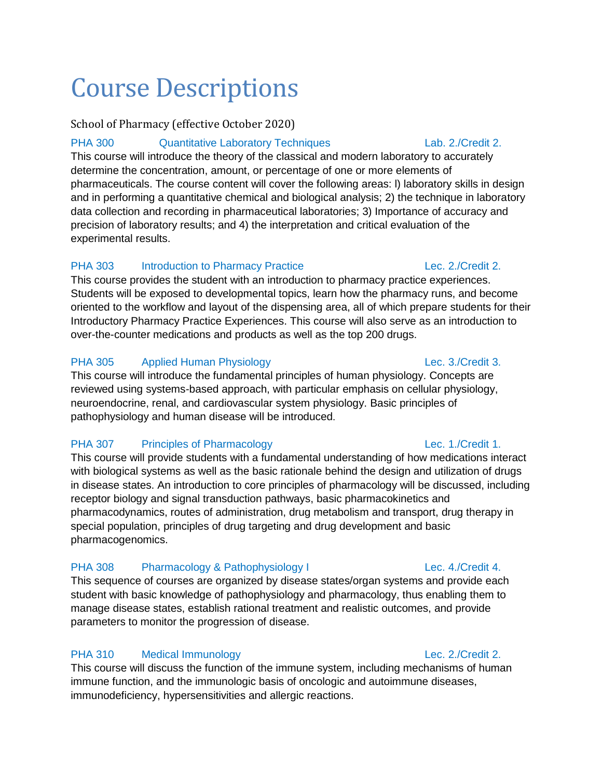# Course Descriptions

# School of Pharmacy (effective October 2020)

# PHA 300 Quantitative Laboratory Techniques Lab. 2./Credit 2.

This course will introduce the theory of the classical and modern laboratory to accurately determine the concentration, amount, or percentage of one or more elements of pharmaceuticals. The course content will cover the following areas: l) laboratory skills in design and in performing a quantitative chemical and biological analysis; 2) the technique in laboratory data collection and recording in pharmaceutical laboratories; 3) Importance of accuracy and precision of laboratory results; and 4) the interpretation and critical evaluation of the experimental results.

# PHA 303 Introduction to Pharmacy Practice Lec. 2./Credit 2.

This course provides the student with an introduction to pharmacy practice experiences. Students will be exposed to developmental topics, learn how the pharmacy runs, and become oriented to the workflow and layout of the dispensing area, all of which prepare students for their Introductory Pharmacy Practice Experiences. This course will also serve as an introduction to over-the-counter medications and products as well as the top 200 drugs.

# PHA 305 Applied Human Physiology **Lec. 3./Credit 3.**

This course will introduce the fundamental principles of human physiology. Concepts are reviewed using systems-based approach, with particular emphasis on cellular physiology, neuroendocrine, renal, and cardiovascular system physiology. Basic principles of pathophysiology and human disease will be introduced.

# PHA 307 Principles of Pharmacology Lec. 1./Credit 1.

This course will provide students with a fundamental understanding of how medications interact with biological systems as well as the basic rationale behind the design and utilization of drugs in disease states. An introduction to core principles of pharmacology will be discussed, including receptor biology and signal transduction pathways, basic pharmacokinetics and pharmacodynamics, routes of administration, drug metabolism and transport, drug therapy in special population, principles of drug targeting and drug development and basic pharmacogenomics.

# PHA 308 Pharmacology & Pathophysiology I Lec. 4./Credit 4.

This sequence of courses are organized by disease states/organ systems and provide each student with basic knowledge of pathophysiology and pharmacology, thus enabling them to manage disease states, establish rational treatment and realistic outcomes, and provide parameters to monitor the progression of disease.

# PHA 310 Medical Immunology Lec. 2./Credit 2.

This course will discuss the function of the immune system, including mechanisms of human immune function, and the immunologic basis of oncologic and autoimmune diseases, immunodeficiency, hypersensitivities and allergic reactions.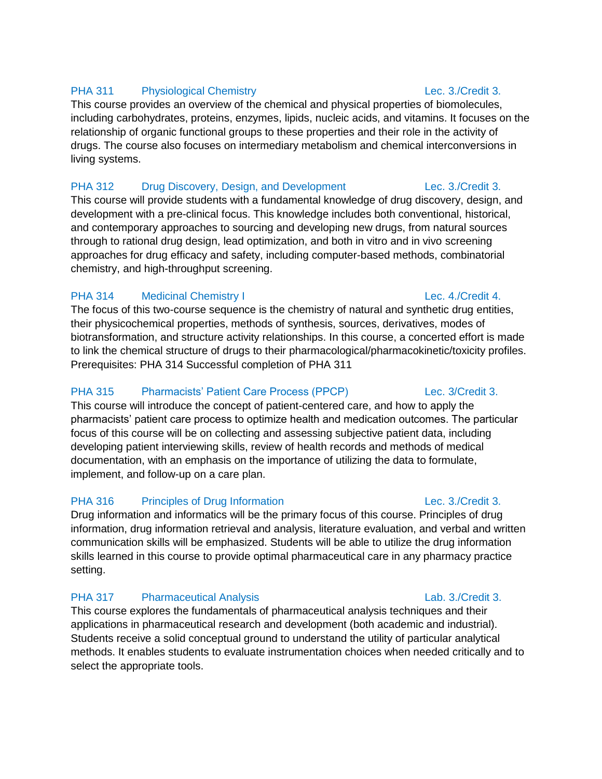### PHA 311 Physiological Chemistry **Physiological Chemistry Lec. 3./Credit 3.**

This course provides an overview of the chemical and physical properties of biomolecules, including carbohydrates, proteins, enzymes, lipids, nucleic acids, and vitamins. It focuses on the relationship of organic functional groups to these properties and their role in the activity of drugs. The course also focuses on intermediary metabolism and chemical interconversions in living systems.

### PHA 312 Drug Discovery, Design, and Development Lec. 3./Credit 3.

This course will provide students with a fundamental knowledge of drug discovery, design, and development with a pre-clinical focus. This knowledge includes both conventional, historical, and contemporary approaches to sourcing and developing new drugs, from natural sources through to rational drug design, lead optimization, and both in vitro and in vivo screening approaches for drug efficacy and safety, including computer-based methods, combinatorial chemistry, and high-throughput screening.

### PHA 314 Medicinal Chemistry I Lec. 4./Credit 4.

The focus of this two-course sequence is the chemistry of natural and synthetic drug entities, their physicochemical properties, methods of synthesis, sources, derivatives, modes of biotransformation, and structure activity relationships. In this course, a concerted effort is made to link the chemical structure of drugs to their pharmacological/pharmacokinetic/toxicity profiles. Prerequisites: PHA 314 Successful completion of PHA 311

# PHA 315 Pharmacists' Patient Care Process (PPCP) Lec. 3/Credit 3.

This course will introduce the concept of patient-centered care, and how to apply the pharmacists' patient care process to optimize health and medication outcomes. The particular focus of this course will be on collecting and assessing subjective patient data, including developing patient interviewing skills, review of health records and methods of medical documentation, with an emphasis on the importance of utilizing the data to formulate, implement, and follow-up on a care plan.

### PHA 316 Principles of Drug Information **Example 20** Lec. 3./Credit 3.

Drug information and informatics will be the primary focus of this course. Principles of drug information, drug information retrieval and analysis, literature evaluation, and verbal and written communication skills will be emphasized. Students will be able to utilize the drug information skills learned in this course to provide optimal pharmaceutical care in any pharmacy practice setting.

### PHA 317 Pharmaceutical Analysis **Lab. 3./Credit 3.**

This course explores the fundamentals of pharmaceutical analysis techniques and their applications in pharmaceutical research and development (both academic and industrial). Students receive a solid conceptual ground to understand the utility of particular analytical methods. It enables students to evaluate instrumentation choices when needed critically and to select the appropriate tools.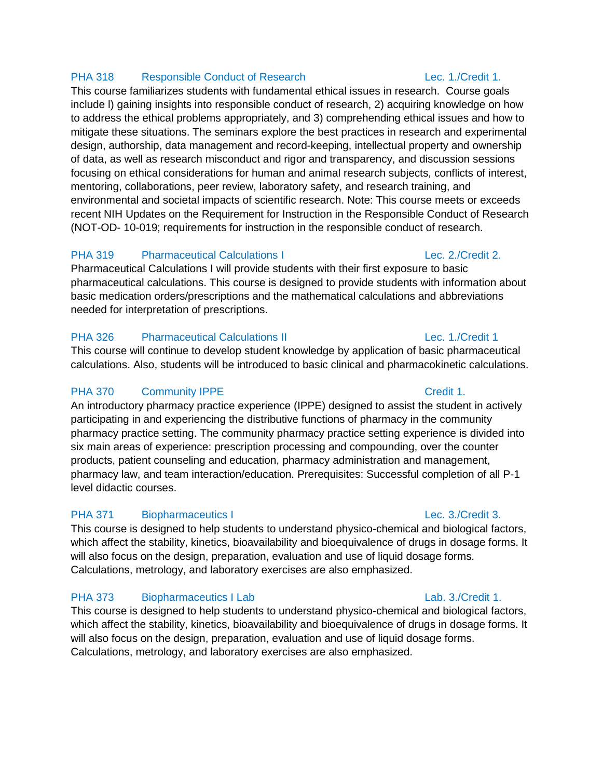### PHA 318 Responsible Conduct of Research Lec. 1./Credit 1.

This course familiarizes students with fundamental ethical issues in research. Course goals include l) gaining insights into responsible conduct of research, 2) acquiring knowledge on how to address the ethical problems appropriately, and 3) comprehending ethical issues and how to mitigate these situations. The seminars explore the best practices in research and experimental design, authorship, data management and record-keeping, intellectual property and ownership of data, as well as research misconduct and rigor and transparency, and discussion sessions focusing on ethical considerations for human and animal research subjects, conflicts of interest, mentoring, collaborations, peer review, laboratory safety, and research training, and environmental and societal impacts of scientific research. Note: This course meets or exceeds recent NIH Updates on the Requirement for Instruction in the Responsible Conduct of Research (NOT-OD- 10-019; requirements for instruction in the responsible conduct of research.

### PHA 319 Pharmaceutical Calculations I Lec. 2./Credit 2.

Pharmaceutical Calculations I will provide students with their first exposure to basic pharmaceutical calculations. This course is designed to provide students with information about basic medication orders/prescriptions and the mathematical calculations and abbreviations needed for interpretation of prescriptions.

# PHA 326 Pharmaceutical Calculations II Lec. 1./Credit 1

This course will continue to develop student knowledge by application of basic pharmaceutical calculations. Also, students will be introduced to basic clinical and pharmacokinetic calculations.

# PHA 370 Community IPPE Credit 1.

An introductory pharmacy practice experience (IPPE) designed to assist the student in actively participating in and experiencing the distributive functions of pharmacy in the community pharmacy practice setting. The community pharmacy practice setting experience is divided into six main areas of experience: prescription processing and compounding, over the counter products, patient counseling and education, pharmacy administration and management, pharmacy law, and team interaction/education. Prerequisites: Successful completion of all P-1 level didactic courses.

# PHA 371 Biopharmaceutics I Lec. 3./Credit 3.

This course is designed to help students to understand physico-chemical and biological factors, which affect the stability, kinetics, bioavailability and bioequivalence of drugs in dosage forms. It will also focus on the design, preparation, evaluation and use of liquid dosage forms. Calculations, metrology, and laboratory exercises are also emphasized.

# PHA 373 Biopharmaceutics I Lab Lab Lab. 3./Credit 1.

This course is designed to help students to understand physico-chemical and biological factors, which affect the stability, kinetics, bioavailability and bioequivalence of drugs in dosage forms. It will also focus on the design, preparation, evaluation and use of liquid dosage forms. Calculations, metrology, and laboratory exercises are also emphasized.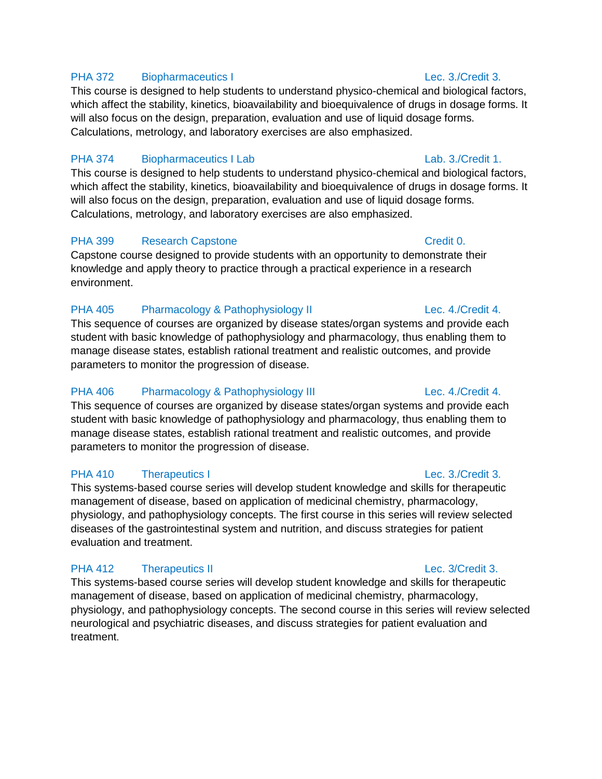### PHA 372 Biopharmaceutics I Lec. 3./Credit 3.

This course is designed to help students to understand physico-chemical and biological factors, which affect the stability, kinetics, bioavailability and bioequivalence of drugs in dosage forms. It will also focus on the design, preparation, evaluation and use of liquid dosage forms. Calculations, metrology, and laboratory exercises are also emphasized.

# PHA 374 Biopharmaceutics I Lab Lab Lab Lab. 3./Credit 1.

This course is designed to help students to understand physico-chemical and biological factors, which affect the stability, kinetics, bioavailability and bioequivalence of drugs in dosage forms. It will also focus on the design, preparation, evaluation and use of liquid dosage forms. Calculations, metrology, and laboratory exercises are also emphasized.

# PHA 399 Research Capstone Credit 0.

Capstone course designed to provide students with an opportunity to demonstrate their knowledge and apply theory to practice through a practical experience in a research environment.

# PHA 405 Pharmacology & Pathophysiology II Lec. 4./Credit 4.

This sequence of courses are organized by disease states/organ systems and provide each student with basic knowledge of pathophysiology and pharmacology, thus enabling them to manage disease states, establish rational treatment and realistic outcomes, and provide parameters to monitor the progression of disease.

# PHA 406 Pharmacology & Pathophysiology III Lec. 4./Credit 4.

This sequence of courses are organized by disease states/organ systems and provide each student with basic knowledge of pathophysiology and pharmacology, thus enabling them to manage disease states, establish rational treatment and realistic outcomes, and provide parameters to monitor the progression of disease.

# PHA 410 Therapeutics I Lec. 3./Credit 3.

This systems-based course series will develop student knowledge and skills for therapeutic management of disease, based on application of medicinal chemistry, pharmacology, physiology, and pathophysiology concepts. The first course in this series will review selected diseases of the gastrointestinal system and nutrition, and discuss strategies for patient evaluation and treatment.

# PHA 412 Therapeutics II and the control of the control of the control of the control of the control of the control of the control of the control of the control of the control of the control of the control of the control of

This systems-based course series will develop student knowledge and skills for therapeutic management of disease, based on application of medicinal chemistry, pharmacology, physiology, and pathophysiology concepts. The second course in this series will review selected neurological and psychiatric diseases, and discuss strategies for patient evaluation and treatment.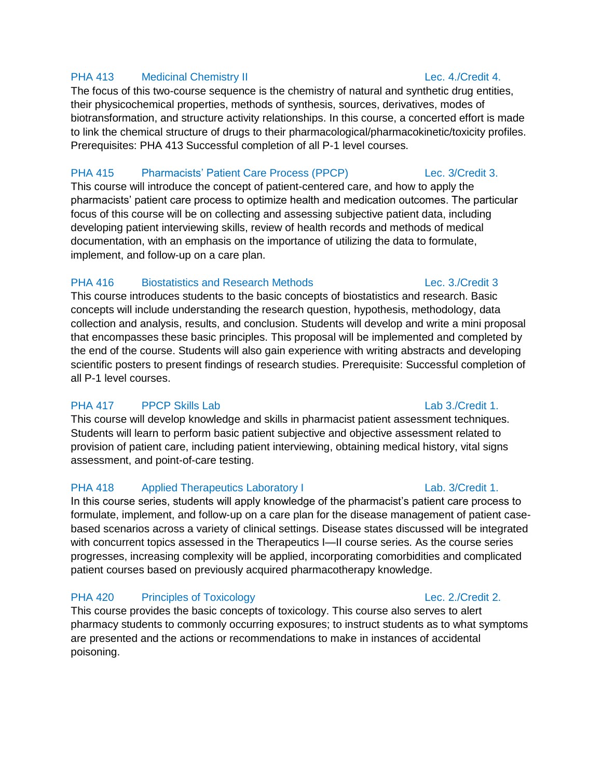### PHA 413 Medicinal Chemistry II Lec. 4./Credit 4.

The focus of this two-course sequence is the chemistry of natural and synthetic drug entities, their physicochemical properties, methods of synthesis, sources, derivatives, modes of biotransformation, and structure activity relationships. In this course, a concerted effort is made to link the chemical structure of drugs to their pharmacological/pharmacokinetic/toxicity profiles. Prerequisites: PHA 413 Successful completion of all P-1 level courses.

# PHA 415 Pharmacists' Patient Care Process (PPCP) Lec. 3/Credit 3.

This course will introduce the concept of patient-centered care, and how to apply the pharmacists' patient care process to optimize health and medication outcomes. The particular focus of this course will be on collecting and assessing subjective patient data, including developing patient interviewing skills, review of health records and methods of medical documentation, with an emphasis on the importance of utilizing the data to formulate, implement, and follow-up on a care plan.

### PHA 416 Biostatistics and Research Methods Lec. 3./Credit 3

This course introduces students to the basic concepts of biostatistics and research. Basic concepts will include understanding the research question, hypothesis, methodology, data collection and analysis, results, and conclusion. Students will develop and write a mini proposal that encompasses these basic principles. This proposal will be implemented and completed by the end of the course. Students will also gain experience with writing abstracts and developing scientific posters to present findings of research studies. Prerequisite: Successful completion of all P-1 level courses.

# PHA 417 PPCP Skills Lab **Lab 2.** Credit 1.

This course will develop knowledge and skills in pharmacist patient assessment techniques. Students will learn to perform basic patient subjective and objective assessment related to provision of patient care, including patient interviewing, obtaining medical history, vital signs assessment, and point-of-care testing.

# PHA 418 Applied Therapeutics Laboratory I Lab. 3/Credit 1.

In this course series, students will apply knowledge of the pharmacist's patient care process to formulate, implement, and follow-up on a care plan for the disease management of patient casebased scenarios across a variety of clinical settings. Disease states discussed will be integrated with concurrent topics assessed in the Therapeutics I—II course series. As the course series progresses, increasing complexity will be applied, incorporating comorbidities and complicated patient courses based on previously acquired pharmacotherapy knowledge.

# PHA 420 Principles of Toxicology **Example 2.** Lec. 2./Credit 2.

This course provides the basic concepts of toxicology. This course also serves to alert pharmacy students to commonly occurring exposures; to instruct students as to what symptoms are presented and the actions or recommendations to make in instances of accidental poisoning.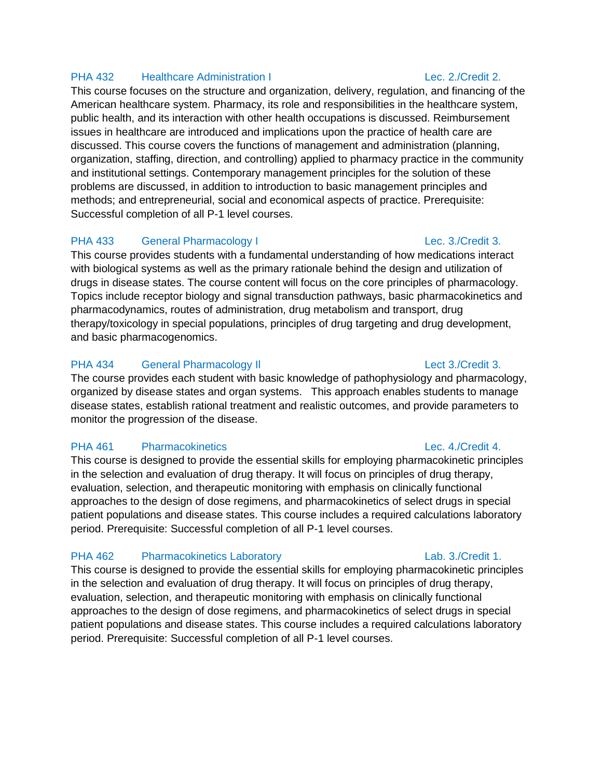### PHA 432 Healthcare Administration I Lec. 2./Credit 2.

This course focuses on the structure and organization, delivery, regulation, and financing of the American healthcare system. Pharmacy, its role and responsibilities in the healthcare system, public health, and its interaction with other health occupations is discussed. Reimbursement issues in healthcare are introduced and implications upon the practice of health care are discussed. This course covers the functions of management and administration (planning, organization, staffing, direction, and controlling) applied to pharmacy practice in the community and institutional settings. Contemporary management principles for the solution of these problems are discussed, in addition to introduction to basic management principles and methods; and entrepreneurial, social and economical aspects of practice. Prerequisite: Successful completion of all P-1 level courses.

### PHA 433 General Pharmacology I Lec. 3./Credit 3.

This course provides students with a fundamental understanding of how medications interact with biological systems as well as the primary rationale behind the design and utilization of drugs in disease states. The course content will focus on the core principles of pharmacology. Topics include receptor biology and signal transduction pathways, basic pharmacokinetics and pharmacodynamics, routes of administration, drug metabolism and transport, drug therapy/toxicology in special populations, principles of drug targeting and drug development, and basic pharmacogenomics.

### PHA 434 General Pharmacology II Changes and Case of the Case of the Lect 3./Credit 3.

The course provides each student with basic knowledge of pathophysiology and pharmacology, organized by disease states and organ systems. This approach enables students to manage disease states, establish rational treatment and realistic outcomes, and provide parameters to monitor the progression of the disease.

### PHA 461 Pharmacokinetics Lec. 4./Credit 4.

This course is designed to provide the essential skills for employing pharmacokinetic principles in the selection and evaluation of drug therapy. It will focus on principles of drug therapy, evaluation, selection, and therapeutic monitoring with emphasis on clinically functional approaches to the design of dose regimens, and pharmacokinetics of select drugs in special patient populations and disease states. This course includes a required calculations laboratory period. Prerequisite: Successful completion of all P-1 level courses.

### PHA 462 Pharmacokinetics Laboratory **Labulation Cabonatory** Lab. 3./Credit 1.

This course is designed to provide the essential skills for employing pharmacokinetic principles in the selection and evaluation of drug therapy. It will focus on principles of drug therapy, evaluation, selection, and therapeutic monitoring with emphasis on clinically functional approaches to the design of dose regimens, and pharmacokinetics of select drugs in special patient populations and disease states. This course includes a required calculations laboratory period. Prerequisite: Successful completion of all P-1 level courses.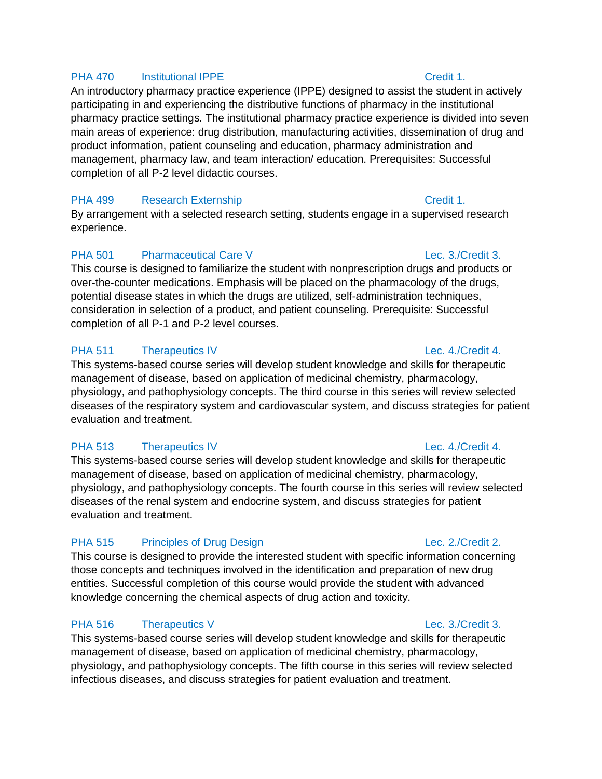### PHA 470 Institutional IPPE Credit 1.

An introductory pharmacy practice experience (IPPE) designed to assist the student in actively participating in and experiencing the distributive functions of pharmacy in the institutional pharmacy practice settings. The institutional pharmacy practice experience is divided into seven main areas of experience: drug distribution, manufacturing activities, dissemination of drug and product information, patient counseling and education, pharmacy administration and management, pharmacy law, and team interaction/ education. Prerequisites: Successful completion of all P-2 level didactic courses.

# PHA 499 Research Externship Credit 1.

By arrangement with a selected research setting, students engage in a supervised research experience.

# PHA 501 Pharmaceutical Care V Lec. 3./Credit 3.

This course is designed to familiarize the student with nonprescription drugs and products or over-the-counter medications. Emphasis will be placed on the pharmacology of the drugs, potential disease states in which the drugs are utilized, self-administration techniques, consideration in selection of a product, and patient counseling. Prerequisite: Successful completion of all P-1 and P-2 level courses.

# PHA 511 Therapeutics IV **Lec. 4./Credit 4.**

This systems-based course series will develop student knowledge and skills for therapeutic management of disease, based on application of medicinal chemistry, pharmacology, physiology, and pathophysiology concepts. The third course in this series will review selected diseases of the respiratory system and cardiovascular system, and discuss strategies for patient evaluation and treatment.

### PHA 513 Therapeutics IV **Lec. 4./Credit 4.**

This systems-based course series will develop student knowledge and skills for therapeutic management of disease, based on application of medicinal chemistry, pharmacology, physiology, and pathophysiology concepts. The fourth course in this series will review selected diseases of the renal system and endocrine system, and discuss strategies for patient evaluation and treatment.

# PHA 515 Principles of Drug Design **Phase Community** Lec. 2./Credit 2.

This course is designed to provide the interested student with specific information concerning those concepts and techniques involved in the identification and preparation of new drug entities. Successful completion of this course would provide the student with advanced knowledge concerning the chemical aspects of drug action and toxicity.

# PHA 516 Therapeutics V and the control of the Lec. 3./Credit 3.

This systems-based course series will develop student knowledge and skills for therapeutic management of disease, based on application of medicinal chemistry, pharmacology, physiology, and pathophysiology concepts. The fifth course in this series will review selected infectious diseases, and discuss strategies for patient evaluation and treatment.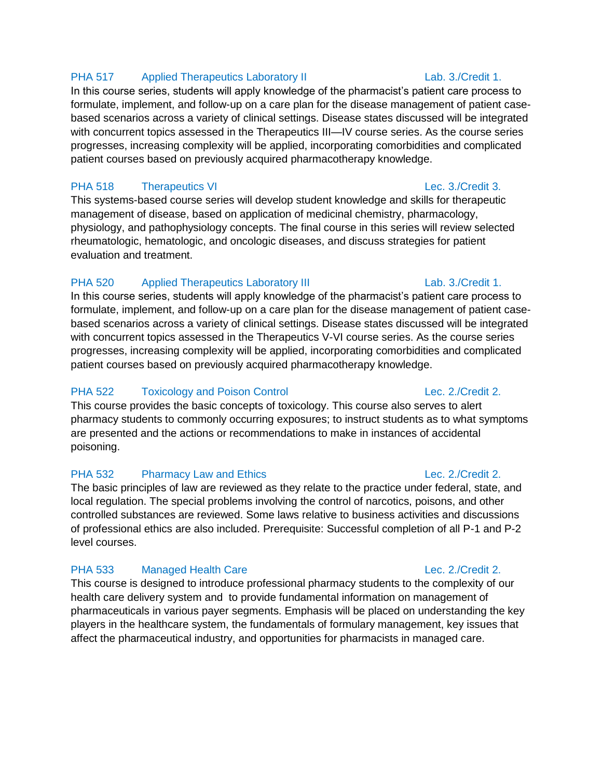### PHA 517 Applied Therapeutics Laboratory II Lab. 3./Credit 1.

In this course series, students will apply knowledge of the pharmacist's patient care process to formulate, implement, and follow-up on a care plan for the disease management of patient casebased scenarios across a variety of clinical settings. Disease states discussed will be integrated with concurrent topics assessed in the Therapeutics III—IV course series. As the course series progresses, increasing complexity will be applied, incorporating comorbidities and complicated patient courses based on previously acquired pharmacotherapy knowledge.

# PHA 518 Therapeutics VI Lec. 3./Credit 3.

This systems-based course series will develop student knowledge and skills for therapeutic management of disease, based on application of medicinal chemistry, pharmacology, physiology, and pathophysiology concepts. The final course in this series will review selected rheumatologic, hematologic, and oncologic diseases, and discuss strategies for patient evaluation and treatment.

### PHA 520 Applied Therapeutics Laboratory III CHA Lab. 3./Credit 1.

In this course series, students will apply knowledge of the pharmacist's patient care process to formulate, implement, and follow-up on a care plan for the disease management of patient casebased scenarios across a variety of clinical settings. Disease states discussed will be integrated with concurrent topics assessed in the Therapeutics V-VI course series. As the course series progresses, increasing complexity will be applied, incorporating comorbidities and complicated patient courses based on previously acquired pharmacotherapy knowledge.

# PHA 522 Toxicology and Poison Control Control Change Lec. 2./Credit 2.

This course provides the basic concepts of toxicology. This course also serves to alert pharmacy students to commonly occurring exposures; to instruct students as to what symptoms are presented and the actions or recommendations to make in instances of accidental poisoning.

### PHA 532 Pharmacy Law and Ethics **Lec. 2./Credit 2.**

The basic principles of law are reviewed as they relate to the practice under federal, state, and local regulation. The special problems involving the control of narcotics, poisons, and other controlled substances are reviewed. Some laws relative to business activities and discussions of professional ethics are also included. Prerequisite: Successful completion of all P-1 and P-2 level courses.

# PHA 533 Managed Health Care Lec. 2./Credit 2.

This course is designed to introduce professional pharmacy students to the complexity of our health care delivery system and to provide fundamental information on management of pharmaceuticals in various payer segments. Emphasis will be placed on understanding the key players in the healthcare system, the fundamentals of formulary management, key issues that affect the pharmaceutical industry, and opportunities for pharmacists in managed care.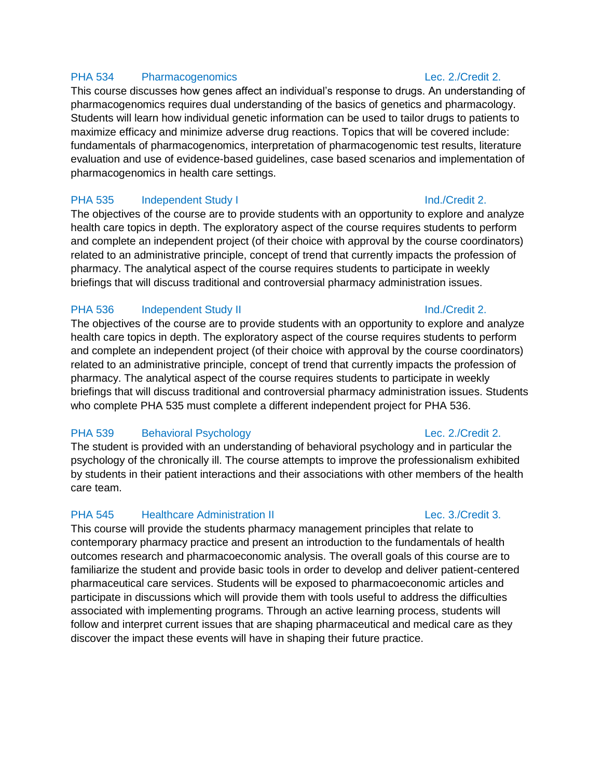### PHA 534 Pharmacogenomics Lec. 2./Credit 2.

This course discusses how genes affect an individual's response to drugs. An understanding of pharmacogenomics requires dual understanding of the basics of genetics and pharmacology. Students will learn how individual genetic information can be used to tailor drugs to patients to maximize efficacy and minimize adverse drug reactions. Topics that will be covered include: fundamentals of pharmacogenomics, interpretation of pharmacogenomic test results, literature evaluation and use of evidence-based guidelines, case based scenarios and implementation of pharmacogenomics in health care settings.

### PHA 535 Independent Study I Ind./Credit 2.

The objectives of the course are to provide students with an opportunity to explore and analyze health care topics in depth. The exploratory aspect of the course requires students to perform and complete an independent project (of their choice with approval by the course coordinators) related to an administrative principle, concept of trend that currently impacts the profession of pharmacy. The analytical aspect of the course requires students to participate in weekly briefings that will discuss traditional and controversial pharmacy administration issues.

### PHA 536 Independent Study II and the contract of the lind./Credit 2.

The objectives of the course are to provide students with an opportunity to explore and analyze health care topics in depth. The exploratory aspect of the course requires students to perform and complete an independent project (of their choice with approval by the course coordinators) related to an administrative principle, concept of trend that currently impacts the profession of pharmacy. The analytical aspect of the course requires students to participate in weekly briefings that will discuss traditional and controversial pharmacy administration issues. Students who complete PHA 535 must complete a different independent project for PHA 536.

### PHA 539 Behavioral Psychology **Lec. 2./Credit 2.**

The student is provided with an understanding of behavioral psychology and in particular the psychology of the chronically ill. The course attempts to improve the professionalism exhibited by students in their patient interactions and their associations with other members of the health care team.

### PHA 545 Healthcare Administration II CHA 645 Lec. 3./Credit 3.

This course will provide the students pharmacy management principles that relate to contemporary pharmacy practice and present an introduction to the fundamentals of health outcomes research and pharmacoeconomic analysis. The overall goals of this course are to familiarize the student and provide basic tools in order to develop and deliver patient-centered pharmaceutical care services. Students will be exposed to pharmacoeconomic articles and participate in discussions which will provide them with tools useful to address the difficulties associated with implementing programs. Through an active learning process, students will follow and interpret current issues that are shaping pharmaceutical and medical care as they discover the impact these events will have in shaping their future practice.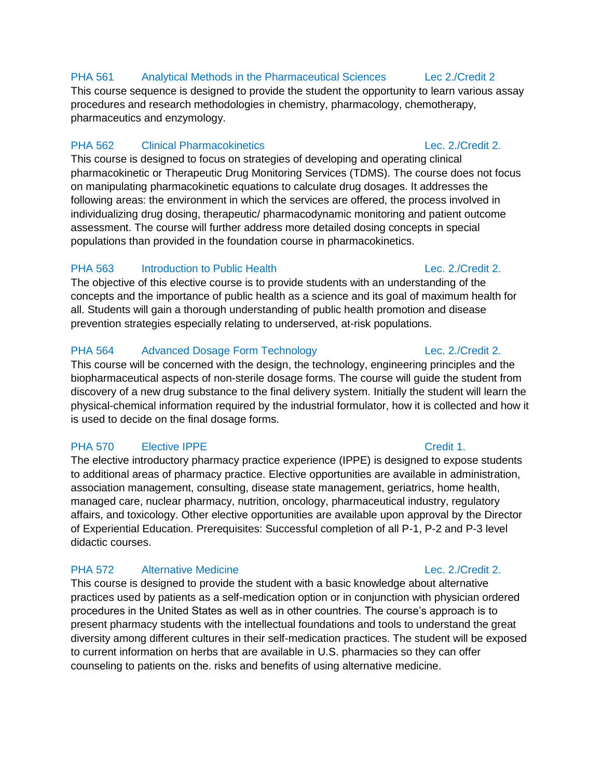# PHA 561 Analytical Methods in the Pharmaceutical Sciences Lec 2./Credit 2

This course sequence is designed to provide the student the opportunity to learn various assay procedures and research methodologies in chemistry, pharmacology, chemotherapy, pharmaceutics and enzymology.

# PHA 562 Clinical Pharmacokinetics Lec. 2./Credit 2.

This course is designed to focus on strategies of developing and operating clinical pharmacokinetic or Therapeutic Drug Monitoring Services (TDMS). The course does not focus on manipulating pharmacokinetic equations to calculate drug dosages. It addresses the following areas: the environment in which the services are offered, the process involved in individualizing drug dosing, therapeutic/ pharmacodynamic monitoring and patient outcome assessment. The course will further address more detailed dosing concepts in special populations than provided in the foundation course in pharmacokinetics.

# PHA 563 Introduction to Public Health **Lec. 2./Credit 2.**

The objective of this elective course is to provide students with an understanding of the concepts and the importance of public health as a science and its goal of maximum health for all. Students will gain a thorough understanding of public health promotion and disease prevention strategies especially relating to underserved, at-risk populations.

# PHA 564 Advanced Dosage Form Technology Lec. 2./Credit 2.

This course will be concerned with the design, the technology, engineering principles and the biopharmaceutical aspects of non-sterile dosage forms. The course will guide the student from discovery of a new drug substance to the final delivery system. Initially the student will learn the physical-chemical information required by the industrial formulator, how it is collected and how it is used to decide on the final dosage forms.

# PHA 570 Elective IPPE Credit 1.

The elective introductory pharmacy practice experience (IPPE) is designed to expose students to additional areas of pharmacy practice. Elective opportunities are available in administration, association management, consulting, disease state management, geriatrics, home health, managed care, nuclear pharmacy, nutrition, oncology, pharmaceutical industry, regulatory affairs, and toxicology. Other elective opportunities are available upon approval by the Director of Experiential Education. Prerequisites: Successful completion of all P-1, P-2 and P-3 level didactic courses.

# PHA 572 Alternative Medicine **Lec. 2./Credit 2.**

This course is designed to provide the student with a basic knowledge about alternative practices used by patients as a self-medication option or in conjunction with physician ordered procedures in the United States as well as in other countries. The course's approach is to present pharmacy students with the intellectual foundations and tools to understand the great diversity among different cultures in their self-medication practices. The student will be exposed to current information on herbs that are available in U.S. pharmacies so they can offer counseling to patients on the. risks and benefits of using alternative medicine.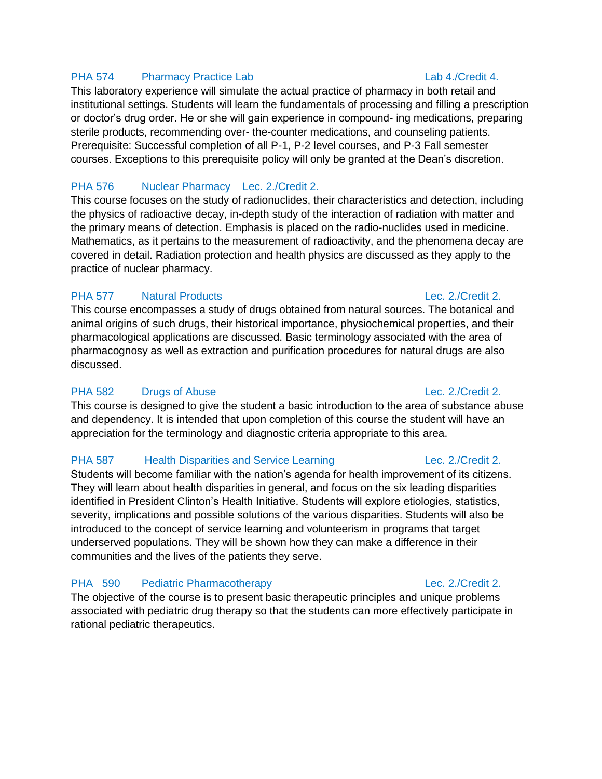### PHA 574 Pharmacy Practice Lab **Lab 1.1 Credit 4.**

This laboratory experience will simulate the actual practice of pharmacy in both retail and institutional settings. Students will learn the fundamentals of processing and filling a prescription or doctor's drug order. He or she will gain experience in compound- ing medications, preparing sterile products, recommending over- the-counter medications, and counseling patients. Prerequisite: Successful completion of all P-1, P-2 level courses, and P-3 Fall semester courses. Exceptions to this prerequisite policy will only be granted at the Dean's discretion.

### PHA 576 Nuclear Pharmacy Lec. 2./Credit 2.

This course focuses on the study of radionuclides, their characteristics and detection, including the physics of radioactive decay, in-depth study of the interaction of radiation with matter and the primary means of detection. Emphasis is placed on the radio-nuclides used in medicine. Mathematics, as it pertains to the measurement of radioactivity, and the phenomena decay are covered in detail. Radiation protection and health physics are discussed as they apply to the practice of nuclear pharmacy.

### PHA 577 Natural Products Lec. 2./Credit 2.

This course encompasses a study of drugs obtained from natural sources. The botanical and animal origins of such drugs, their historical importance, physiochemical properties, and their pharmacological applications are discussed. Basic terminology associated with the area of pharmacognosy as well as extraction and purification procedures for natural drugs are also discussed.

### PHA 582 Drugs of Abuse Lec. 2./Credit 2.

This course is designed to give the student a basic introduction to the area of substance abuse and dependency. It is intended that upon completion of this course the student will have an appreciation for the terminology and diagnostic criteria appropriate to this area.

### PHA 587 Health Disparities and Service Learning Lec. 2./Credit 2.

Students will become familiar with the nation's agenda for health improvement of its citizens. They will learn about health disparities in general, and focus on the six leading disparities identified in President Clinton's Health Initiative. Students will explore etiologies, statistics, severity, implications and possible solutions of the various disparities. Students will also be introduced to the concept of service learning and volunteerism in programs that target underserved populations. They will be shown how they can make a difference in their communities and the lives of the patients they serve.

### PHA 590 Pediatric Pharmacotherapy **Lec. 2./Credit 2.**

The objective of the course is to present basic therapeutic principles and unique problems associated with pediatric drug therapy so that the students can more effectively participate in rational pediatric therapeutics.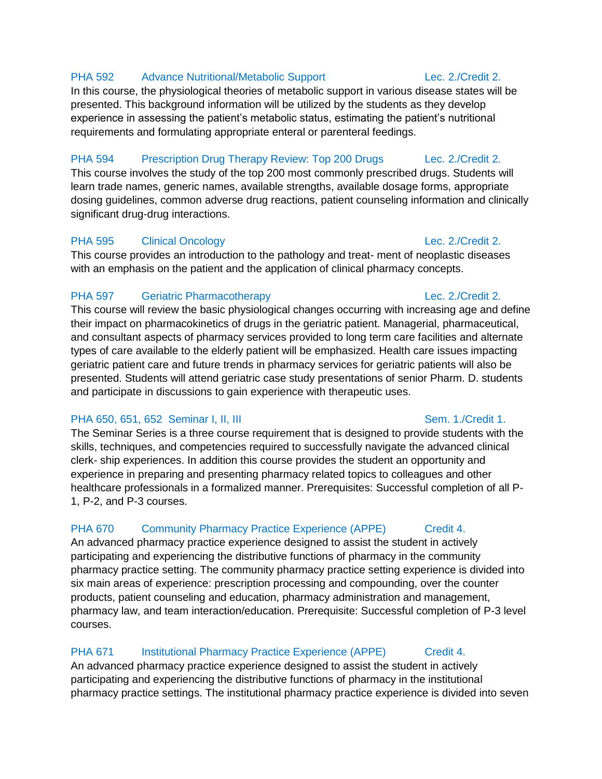# PHA 592 Advance Nutritional/Metabolic Support Lec. 2./Credit 2.

In this course, the physiological theories of metabolic support in various disease states will be presented. This background information will be utilized by the students as they develop experience in assessing the patient's metabolic status, estimating the patient's nutritional requirements and formulating appropriate enteral or parenteral feedings.

### PHA 594 Prescription Drug Therapy Review: Top 200 Drugs Lec. 2./Credit 2.

This course involves the study of the top 200 most commonly prescribed drugs. Students will learn trade names, generic names, available strengths, available dosage forms, appropriate dosing guidelines, common adverse drug reactions, patient counseling information and clinically significant drug-drug interactions.

# PHA 595 Clinical Oncology Clare 2. Credit 2.

This course provides an introduction to the pathology and treat- ment of neoplastic diseases with an emphasis on the patient and the application of clinical pharmacy concepts.

# PHA 597 Geriatric Pharmacotherapy **Lec. 2./Credit 2.**

This course will review the basic physiological changes occurring with increasing age and define their impact on pharmacokinetics of drugs in the geriatric patient. Managerial, pharmaceutical, and consultant aspects of pharmacy services provided to long term care facilities and alternate types of care available to the elderly patient will be emphasized. Health care issues impacting geriatric patient care and future trends in pharmacy services for geriatric patients will also be presented. Students will attend geriatric case study presentations of senior Pharm. D. students and participate in discussions to gain experience with therapeutic uses.

# PHA 650, 651, 652 Seminar I, II, III Seminar Sem. 1./Credit 1.

The Seminar Series is a three course requirement that is designed to provide students with the skills, techniques, and competencies required to successfully navigate the advanced clinical clerk- ship experiences. In addition this course provides the student an opportunity and experience in preparing and presenting pharmacy related topics to colleagues and other healthcare professionals in a formalized manner. Prerequisites: Successful completion of all P-1, P-2, and P-3 courses.

# PHA 670 Community Pharmacy Practice Experience (APPE) Credit 4.

An advanced pharmacy practice experience designed to assist the student in actively participating and experiencing the distributive functions of pharmacy in the community pharmacy practice setting. The community pharmacy practice setting experience is divided into six main areas of experience: prescription processing and compounding, over the counter products, patient counseling and education, pharmacy administration and management, pharmacy law, and team interaction/education. Prerequisite: Successful completion of P-3 level courses.

# PHA 671 Institutional Pharmacy Practice Experience (APPE) Credit 4.

An advanced pharmacy practice experience designed to assist the student in actively participating and experiencing the distributive functions of pharmacy in the institutional pharmacy practice settings. The institutional pharmacy practice experience is divided into seven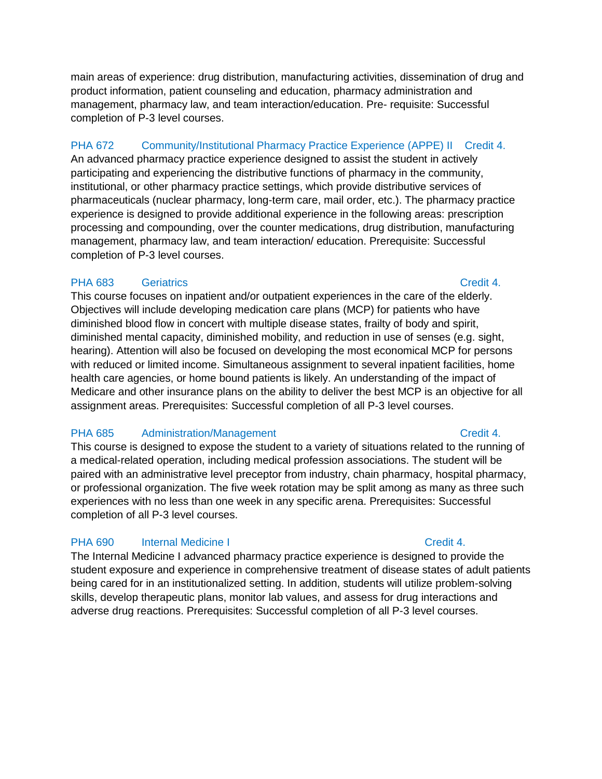main areas of experience: drug distribution, manufacturing activities, dissemination of drug and product information, patient counseling and education, pharmacy administration and management, pharmacy law, and team interaction/education. Pre- requisite: Successful completion of P-3 level courses.

# PHA 672 Community/Institutional Pharmacy Practice Experience (APPE) II Credit 4.

An advanced pharmacy practice experience designed to assist the student in actively participating and experiencing the distributive functions of pharmacy in the community, institutional, or other pharmacy practice settings, which provide distributive services of pharmaceuticals (nuclear pharmacy, long-term care, mail order, etc.). The pharmacy practice experience is designed to provide additional experience in the following areas: prescription processing and compounding, over the counter medications, drug distribution, manufacturing management, pharmacy law, and team interaction/ education. Prerequisite: Successful completion of P-3 level courses.

### PHA 683 Geriatrics **Credit 4.**

This course focuses on inpatient and/or outpatient experiences in the care of the elderly. Objectives will include developing medication care plans (MCP) for patients who have diminished blood flow in concert with multiple disease states, frailty of body and spirit, diminished mental capacity, diminished mobility, and reduction in use of senses (e.g. sight, hearing). Attention will also be focused on developing the most economical MCP for persons with reduced or limited income. Simultaneous assignment to several inpatient facilities, home health care agencies, or home bound patients is likely. An understanding of the impact of Medicare and other insurance plans on the ability to deliver the best MCP is an objective for all assignment areas. Prerequisites: Successful completion of all P-3 level courses.

### PHA 685 Administration/Management Credit 4.

This course is designed to expose the student to a variety of situations related to the running of a medical-related operation, including medical profession associations. The student will be paired with an administrative level preceptor from industry, chain pharmacy, hospital pharmacy, or professional organization. The five week rotation may be split among as many as three such experiences with no less than one week in any specific arena. Prerequisites: Successful completion of all P-3 level courses.

# PHA 690 Internal Medicine I Credit 4.

The Internal Medicine I advanced pharmacy practice experience is designed to provide the student exposure and experience in comprehensive treatment of disease states of adult patients being cared for in an institutionalized setting. In addition, students will utilize problem-solving skills, develop therapeutic plans, monitor lab values, and assess for drug interactions and adverse drug reactions. Prerequisites: Successful completion of all P-3 level courses.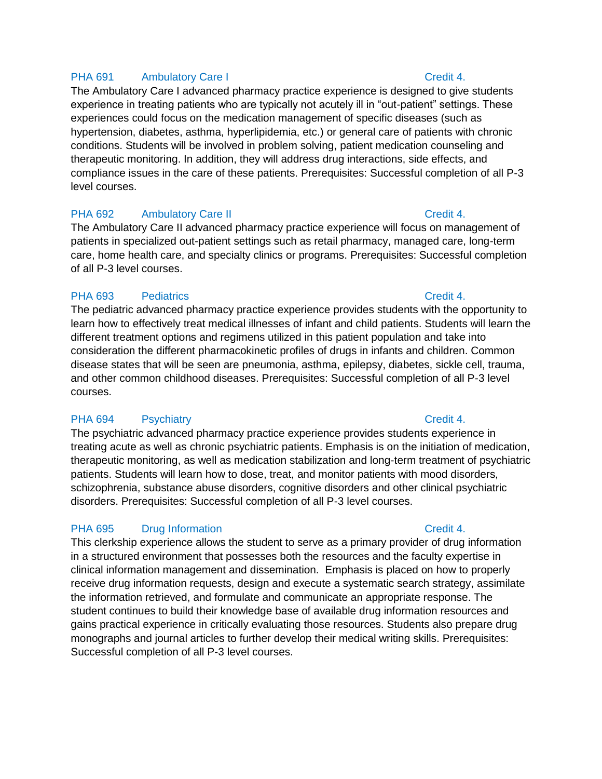### PHA 691 Ambulatory Care I Credit 4.

The Ambulatory Care I advanced pharmacy practice experience is designed to give students experience in treating patients who are typically not acutely ill in "out-patient" settings. These experiences could focus on the medication management of specific diseases (such as hypertension, diabetes, asthma, hyperlipidemia, etc.) or general care of patients with chronic conditions. Students will be involved in problem solving, patient medication counseling and therapeutic monitoring. In addition, they will address drug interactions, side effects, and compliance issues in the care of these patients. Prerequisites: Successful completion of all P-3 level courses.

### PHA 692 Ambulatory Care II Credit 4.

The Ambulatory Care II advanced pharmacy practice experience will focus on management of patients in specialized out-patient settings such as retail pharmacy, managed care, long-term care, home health care, and specialty clinics or programs. Prerequisites: Successful completion of all P-3 level courses.

### PHA 693 Pediatrics **PHA 693** Pediatrics **Credit 4.**

The pediatric advanced pharmacy practice experience provides students with the opportunity to learn how to effectively treat medical illnesses of infant and child patients. Students will learn the different treatment options and regimens utilized in this patient population and take into consideration the different pharmacokinetic profiles of drugs in infants and children. Common disease states that will be seen are pneumonia, asthma, epilepsy, diabetes, sickle cell, trauma, and other common childhood diseases. Prerequisites: Successful completion of all P-3 level courses.

### PHA 694 Psychiatry **PHA 694** Psychiatry **Credit 4.**

The psychiatric advanced pharmacy practice experience provides students experience in treating acute as well as chronic psychiatric patients. Emphasis is on the initiation of medication, therapeutic monitoring, as well as medication stabilization and long-term treatment of psychiatric patients. Students will learn how to dose, treat, and monitor patients with mood disorders, schizophrenia, substance abuse disorders, cognitive disorders and other clinical psychiatric disorders. Prerequisites: Successful completion of all P-3 level courses.

### PHA 695 Drug Information Credit 4.

This clerkship experience allows the student to serve as a primary provider of drug information in a structured environment that possesses both the resources and the faculty expertise in clinical information management and dissemination. Emphasis is placed on how to properly receive drug information requests, design and execute a systematic search strategy, assimilate the information retrieved, and formulate and communicate an appropriate response. The student continues to build their knowledge base of available drug information resources and gains practical experience in critically evaluating those resources. Students also prepare drug monographs and journal articles to further develop their medical writing skills. Prerequisites: Successful completion of all P-3 level courses.